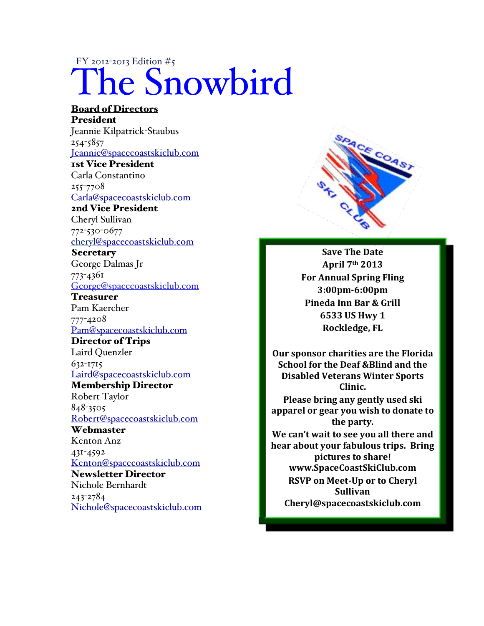## FY 2012-2013 Edition #5 The Snowbird

## Board of Directors President Jeannie Kilpatrick-Staubus 254-5857 Jeannie@spacecoastskiclub.com 1st Vice President Carla Constantino 255-7708 Carla@spacecoastskiclub.com 2nd Vice President Cheryl Sullivan 772-530-0677 cheryl@spacecoastskiclub.com **Secretary** George Dalmas Jr 773-4361 George@spacecoastskiclub.com Treasurer Pam Kaercher 777-4208 Pam@spacecoastskiclub.com Director of Trips Laird Quenzler 632-1715 Laird@spacecoastskiclub.com Membership Director Robert Taylor 848-3505 Robert@spacecoastskiclub.com **Webmaster** Kenton Anz 431-4592 Kenton@spacecoastskiclub.com Newsletter Director Nichole Bernhardt 243-2784 Nichole@spacecoastskiclub.com



**Save The Date April%7th 2013 For Annual Spring Fling 3:00pm;6:00pm** Pineda Inn Bar & Grill **6533%US%Hwy%1 Rockledge,%FL**

**Our sponsor charities are the Florida School for the Deaf &Blind and the Disabled Veterans Winter Sports Clinic.**

Please bring any gently used ski apparel or gear you wish to donate to the party.

We can't wait to see you all there and **hear about your fabulous trips. Bring pictures to share! www.SpaceCoastSkiClub.com RSVP on Meet-Up or to Cheryl Sullivan% Cheryl@spacecoastskiclub.com**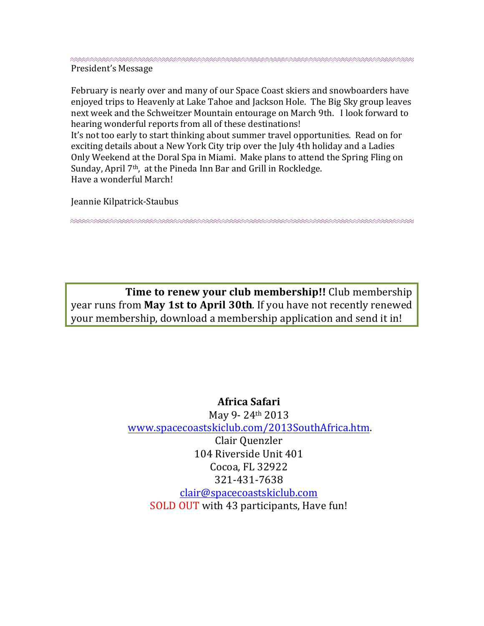President's Message

February is nearly over and many of our Space Coast skiers and snowboarders have enjoyed trips to Heavenly at Lake Tahoe and Jackson Hole. The Big Sky group leaves next week and the Schweitzer Mountain entourage on March 9th. I look forward to hearing wonderful reports from all of these destinations!

It's not too early to start thinking about summer travel opportunities. Read on for exciting details about a New York City trip over the July 4th holiday and a Ladies Only Weekend at the Doral Spa in Miami. Make plans to attend the Spring Fling on Sunday, April 7<sup>th</sup>, at the Pineda Inn Bar and Grill in Rockledge. Have a wonderful March!

Jeannie Kilpatrick-Staubus

Time to renew your club membership!! Club membership year runs from May 1st to April 30th. If you have not recently renewed your membership, download a membership application and send it in!

> Africa Safari May 9-24th 2013 www.spacecoastskiclub.com/2013SouthAfrica.htm. Clair Quenzler 104 Riverside Unit 401 Cocoa, FL 32922 321-431-7638 clair@spacecoastskiclub.com SOLD OUT with 43 participants, Have fun!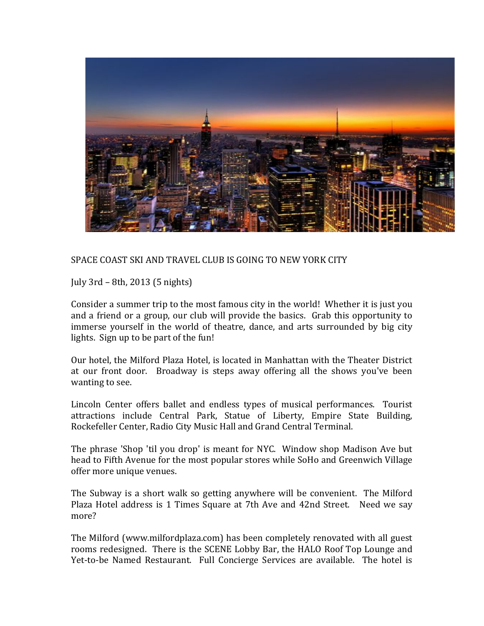

SPACE COAST SKI AND TRAVEL CLUB IS GOING TO NEW YORK CITY

July 3rd – 8th, 2013 (5 nights)

Consider a summer trip to the most famous city in the world! Whether it is just you and a friend or a group, our club will provide the basics. Grab this opportunity to immerse vourself in the world of theatre, dance, and arts surrounded by big city lights. Sign up to be part of the fun!

Our hotel, the Milford Plaza Hotel, is located in Manhattan with the Theater District at our front door. Broadway is steps away offering all the shows you've been wanting to see.

Lincoln Center offers ballet and endless types of musical performances. Tourist attractions include Central Park, Statue of Liberty, Empire State Building, Rockefeller Center, Radio City Music Hall and Grand Central Terminal.

The phrase 'Shop 'til you drop' is meant for NYC. Window shop Madison Ave but head to Fifth Avenue for the most popular stores while SoHo and Greenwich Village offer more unique venues.

The Subway is a short walk so getting anywhere will be convenient. The Milford Plaza Hotel address is 1 Times Square at 7th Ave and 42nd Street. Need we say more?

The Milford (www.milfordplaza.com) has been completely renovated with all guest rooms redesigned. There is the SCENE Lobby Bar, the HALO Roof Top Lounge and Yet-to-be Named Restaurant. Full Concierge Services are available. The hotel is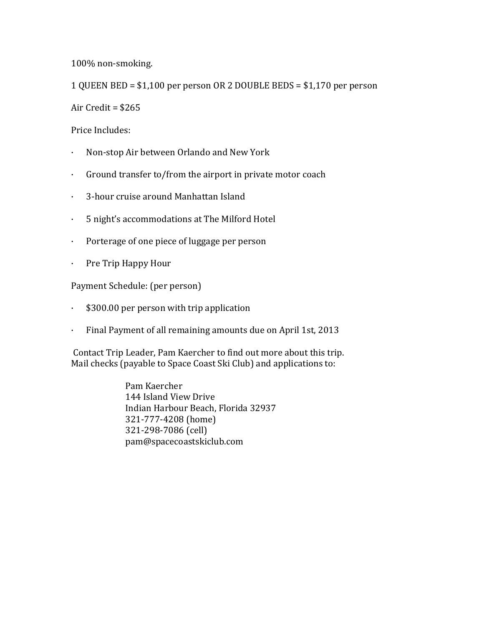100% non-smoking.

1 QUEEN BED =  $$1,100$  per person OR 2 DOUBLE BEDS =  $$1,170$  per person

Air Credit =  $$265$ 

Price Includes:

- · Non-stop Air between Orlando and New York
- Ground transfer to/from the airport in private motor coach
- · 3-hour cruise around Manhattan Island
- · 5 night's accommodations at The Milford Hotel
- Porterage of one piece of luggage per person
- Pre Trip Happy Hour

Payment Schedule: (per person)

- $\cdot$  \$300.00 per person with trip application
- · Final Payment of all remaining amounts due on April 1st, 2013

Contact Trip Leader, Pam Kaercher to find out more about this trip. Mail checks (payable to Space Coast Ski Club) and applications to:

> Pam Kaercher 144 Island View Drive Indian Harbour Beach, Florida 32937 321-777-4208 (home) 321-298-7086 (cell) pam@spacecoastskiclub.com